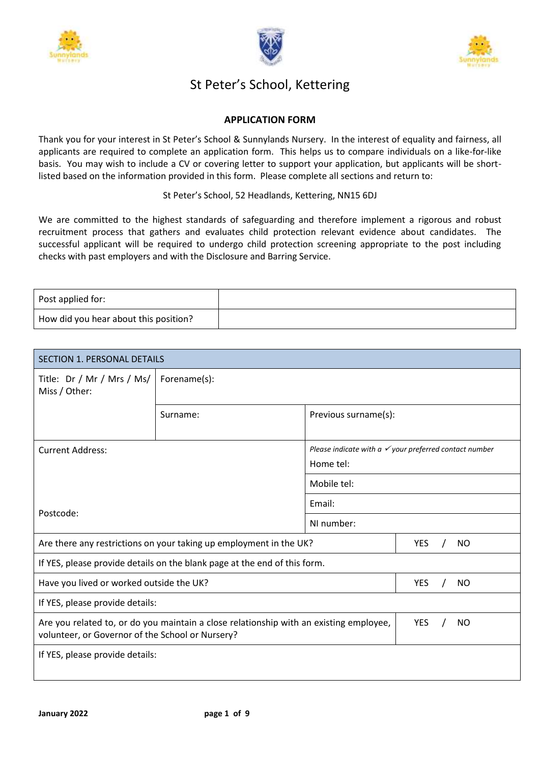





# St Peter's School, Kettering

# **APPLICATION FORM**

Thank you for your interest in St Peter's School & Sunnylands Nursery. In the interest of equality and fairness, all applicants are required to complete an application form. This helps us to compare individuals on a like-for-like basis. You may wish to include a CV or covering letter to support your application, but applicants will be shortlisted based on the information provided in this form. Please complete all sections and return to:

St Peter's School, 52 Headlands, Kettering, NN15 6DJ

We are committed to the highest standards of safeguarding and therefore implement a rigorous and robust recruitment process that gathers and evaluates child protection relevant evidence about candidates. The successful applicant will be required to undergo child protection screening appropriate to the post including checks with past employers and with the Disclosure and Barring Service.

| Post applied for:                     |  |
|---------------------------------------|--|
| How did you hear about this position? |  |

| <b>SECTION 1. PERSONAL DETAILS</b>               |                                                                                        |                      |                                                                   |
|--------------------------------------------------|----------------------------------------------------------------------------------------|----------------------|-------------------------------------------------------------------|
| Title: Dr / Mr / Mrs / Ms/<br>Miss / Other:      | Forename(s):                                                                           |                      |                                                                   |
|                                                  | Surname:                                                                               | Previous surname(s): |                                                                   |
| <b>Current Address:</b>                          |                                                                                        | Home tel:            | Please indicate with a $\checkmark$ your preferred contact number |
|                                                  |                                                                                        | Mobile tel:          |                                                                   |
|                                                  |                                                                                        | Email:               |                                                                   |
| Postcode:                                        |                                                                                        | NI number:           |                                                                   |
|                                                  | Are there any restrictions on your taking up employment in the UK?                     |                      | <b>YES</b><br><b>NO</b>                                           |
|                                                  | If YES, please provide details on the blank page at the end of this form.              |                      |                                                                   |
| Have you lived or worked outside the UK?         |                                                                                        |                      | <b>YES</b><br><b>NO</b>                                           |
| If YES, please provide details:                  |                                                                                        |                      |                                                                   |
| volunteer, or Governor of the School or Nursery? | Are you related to, or do you maintain a close relationship with an existing employee, |                      | <b>YES</b><br><b>NO</b>                                           |
| If YES, please provide details:                  |                                                                                        |                      |                                                                   |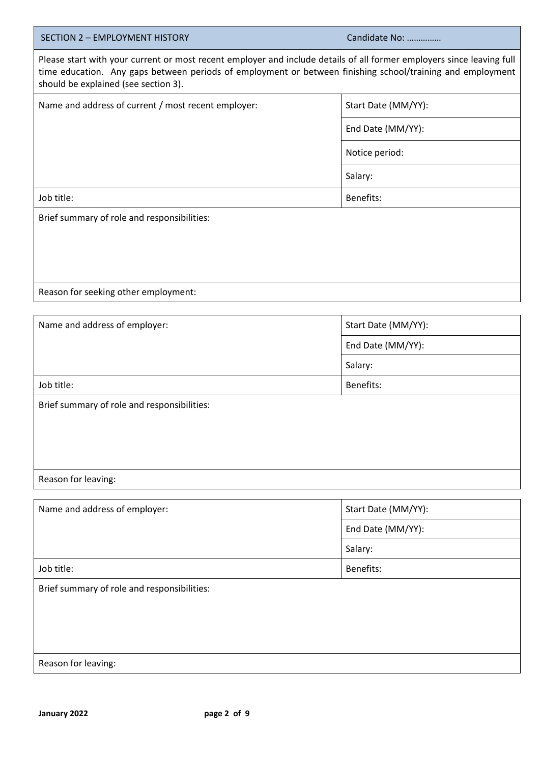| <b>SECTION 2 - EMPLOYMENT HISTORY</b>                                                                                                                                                                                                                                       | Candidate No:       |  |
|-----------------------------------------------------------------------------------------------------------------------------------------------------------------------------------------------------------------------------------------------------------------------------|---------------------|--|
| Please start with your current or most recent employer and include details of all former employers since leaving full<br>time education. Any gaps between periods of employment or between finishing school/training and employment<br>should be explained (see section 3). |                     |  |
| Name and address of current / most recent employer:                                                                                                                                                                                                                         | Start Date (MM/YY): |  |
|                                                                                                                                                                                                                                                                             | End Date (MM/YY):   |  |
|                                                                                                                                                                                                                                                                             | Notice period:      |  |
|                                                                                                                                                                                                                                                                             | Salary:             |  |
| Job title:                                                                                                                                                                                                                                                                  | Benefits:           |  |
| Brief summary of role and responsibilities:                                                                                                                                                                                                                                 |                     |  |
|                                                                                                                                                                                                                                                                             |                     |  |
|                                                                                                                                                                                                                                                                             |                     |  |
|                                                                                                                                                                                                                                                                             |                     |  |
| Reason for seeking other employment:                                                                                                                                                                                                                                        |                     |  |
|                                                                                                                                                                                                                                                                             |                     |  |
| Name and address of employer:                                                                                                                                                                                                                                               | Start Date (MM/YY): |  |
|                                                                                                                                                                                                                                                                             | End Date (MM/YY):   |  |
|                                                                                                                                                                                                                                                                             | Salary:             |  |
| Job title:                                                                                                                                                                                                                                                                  | Benefits:           |  |
| Brief summary of role and responsibilities:                                                                                                                                                                                                                                 |                     |  |
|                                                                                                                                                                                                                                                                             |                     |  |
|                                                                                                                                                                                                                                                                             |                     |  |
|                                                                                                                                                                                                                                                                             |                     |  |
| Reason for leaving:                                                                                                                                                                                                                                                         |                     |  |
|                                                                                                                                                                                                                                                                             |                     |  |
| Name and address of employer:                                                                                                                                                                                                                                               | Start Date (MM/YY): |  |
|                                                                                                                                                                                                                                                                             | End Date (MM/YY):   |  |
|                                                                                                                                                                                                                                                                             | Salary:             |  |
| Job title:                                                                                                                                                                                                                                                                  | Benefits:           |  |
| Brief summary of role and responsibilities:                                                                                                                                                                                                                                 |                     |  |

Reason for leaving: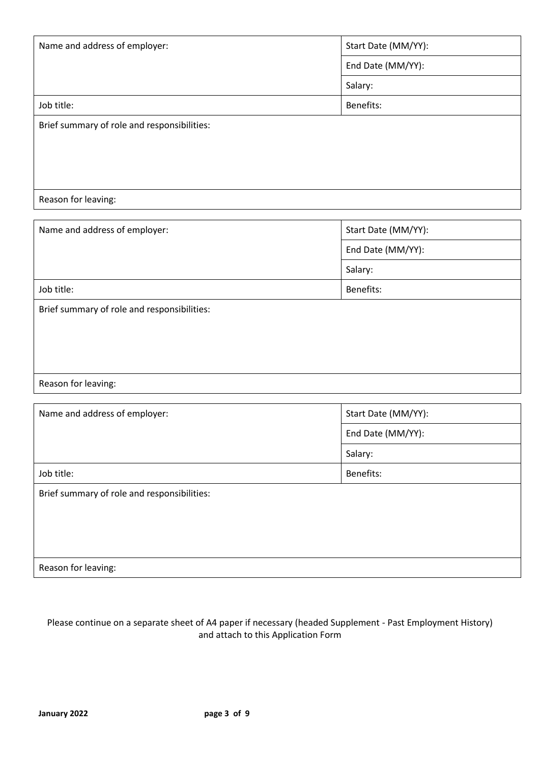| Name and address of employer:               | Start Date (MM/YY): |
|---------------------------------------------|---------------------|
|                                             | End Date (MM/YY):   |
|                                             | Salary:             |
| Job title:                                  | Benefits:           |
| Brief summary of role and responsibilities: |                     |
|                                             |                     |
|                                             |                     |
|                                             |                     |
| Reason for leaving:                         |                     |

| Name and address of employer:               | Start Date (MM/YY): |
|---------------------------------------------|---------------------|
|                                             | End Date (MM/YY):   |
|                                             | Salary:             |
| Job title:                                  | Benefits:           |
| Brief summary of role and responsibilities: |                     |
|                                             |                     |
|                                             |                     |
|                                             |                     |
| Reason for leaving:                         |                     |

| Name and address of employer:               | Start Date (MM/YY): |
|---------------------------------------------|---------------------|
|                                             | End Date (MM/YY):   |
|                                             | Salary:             |
| Job title:                                  | Benefits:           |
| Brief summary of role and responsibilities: |                     |
|                                             |                     |
|                                             |                     |
|                                             |                     |
| Reason for leaving:                         |                     |

# Please continue on a separate sheet of A4 paper if necessary (headed Supplement - Past Employment History) and attach to this Application Form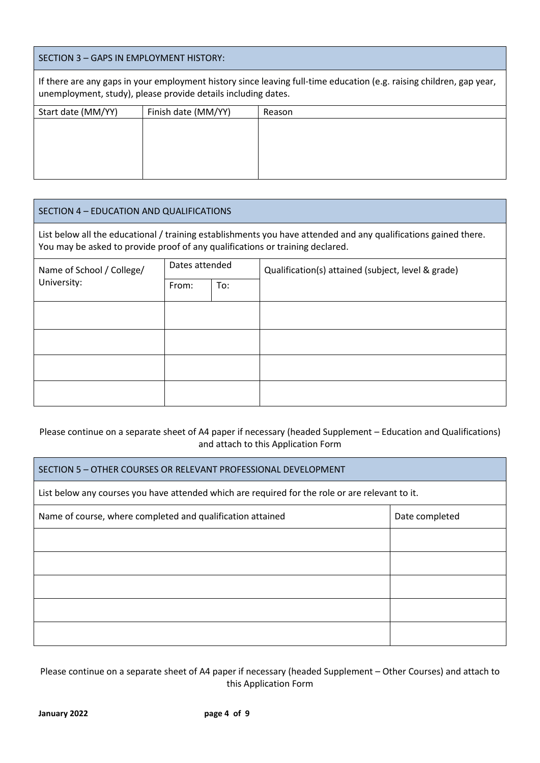# SECTION 3 – GAPS IN EMPLOYMENT HISTORY: If there are any gaps in your employment history since leaving full-time education (e.g. raising children, gap year, unemployment, study), please provide details including dates. Start date (MM/YY) Finish date (MM/YY) Reason

| SECTION 4 - EDUCATION AND QUALIFICATIONS                                                                                                                                                         |                                                                      |     |  |
|--------------------------------------------------------------------------------------------------------------------------------------------------------------------------------------------------|----------------------------------------------------------------------|-----|--|
| List below all the educational / training establishments you have attended and any qualifications gained there.<br>You may be asked to provide proof of any qualifications or training declared. |                                                                      |     |  |
| Name of School / College/                                                                                                                                                                        | Dates attended<br>Qualification(s) attained (subject, level & grade) |     |  |
| University:                                                                                                                                                                                      | From:                                                                | To: |  |
|                                                                                                                                                                                                  |                                                                      |     |  |
|                                                                                                                                                                                                  |                                                                      |     |  |
|                                                                                                                                                                                                  |                                                                      |     |  |
|                                                                                                                                                                                                  |                                                                      |     |  |

## Please continue on a separate sheet of A4 paper if necessary (headed Supplement – Education and Qualifications) and attach to this Application Form

| SECTION 5 - OTHER COURSES OR RELEVANT PROFESSIONAL DEVELOPMENT                                  |                |  |
|-------------------------------------------------------------------------------------------------|----------------|--|
| List below any courses you have attended which are required for the role or are relevant to it. |                |  |
| Name of course, where completed and qualification attained                                      | Date completed |  |
|                                                                                                 |                |  |
|                                                                                                 |                |  |
|                                                                                                 |                |  |
|                                                                                                 |                |  |
|                                                                                                 |                |  |

Please continue on a separate sheet of A4 paper if necessary (headed Supplement – Other Courses) and attach to this Application Form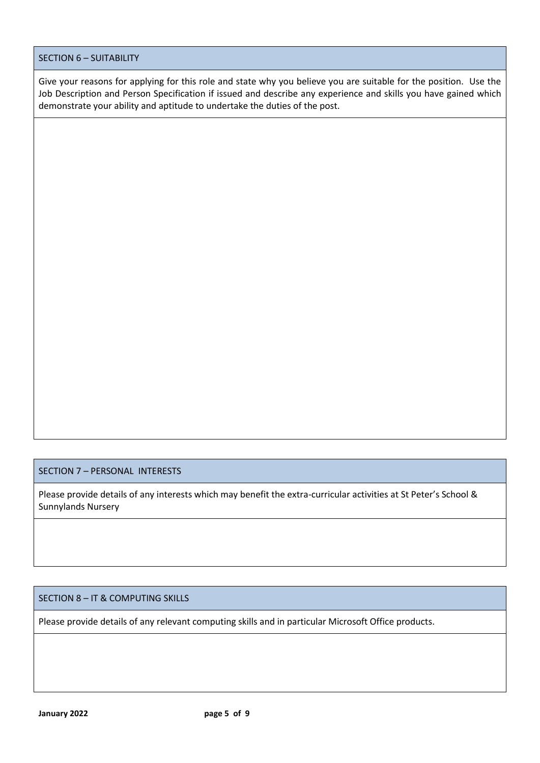## SECTION 6 – SUITABILITY

Give your reasons for applying for this role and state why you believe you are suitable for the position. Use the Job Description and Person Specification if issued and describe any experience and skills you have gained which demonstrate your ability and aptitude to undertake the duties of the post.

# SECTION 7 – PERSONAL INTERESTS

Please provide details of any interests which may benefit the extra-curricular activities at St Peter's School & Sunnylands Nursery

### SECTION 8 – IT & COMPUTING SKILLS

Please provide details of any relevant computing skills and in particular Microsoft Office products.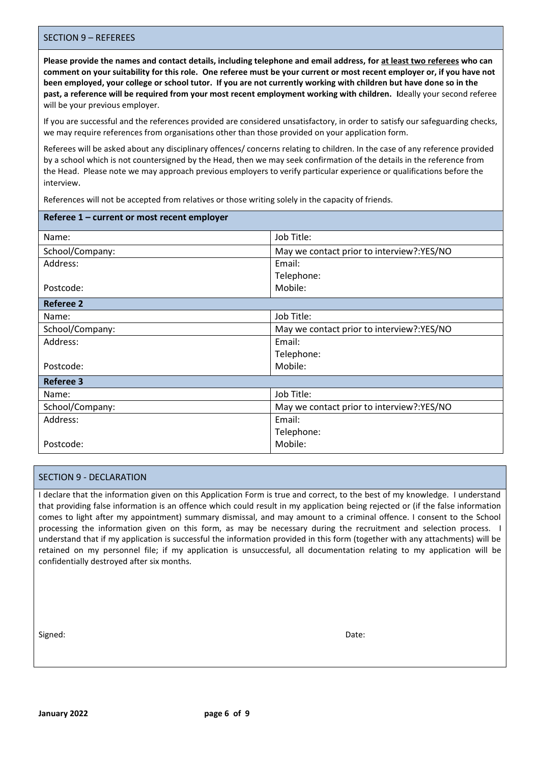#### SECTION 9 – REFEREES

**Please provide the names and contact details, including telephone and email address, for at least two referees who can comment on your suitability for this role. One referee must be your current or most recent employer or, if you have not been employed, your college or school tutor. If you are not currently working with children but have done so in the past, a reference will be required from your most recent employment working with children. I**deally your second referee will be your previous employer.

If you are successful and the references provided are considered unsatisfactory, in order to satisfy our safeguarding checks, we may require references from organisations other than those provided on your application form.

Referees will be asked about any disciplinary offences/ concerns relating to children. In the case of any reference provided by a school which is not countersigned by the Head, then we may seek confirmation of the details in the reference from the Head. Please note we may approach previous employers to verify particular experience or qualifications before the interview.

References will not be accepted from relatives or those writing solely in the capacity of friends.

| Referee 1 - current or most recent employer |                                            |
|---------------------------------------------|--------------------------------------------|
| Name:                                       | Job Title:                                 |
| School/Company:                             | May we contact prior to interview?: YES/NO |
| Address:                                    | Email:                                     |
|                                             | Telephone:                                 |
| Postcode:                                   | Mobile:                                    |
| <b>Referee 2</b>                            |                                            |
| Name:                                       | Job Title:                                 |
| School/Company:                             | May we contact prior to interview?:YES/NO  |
| Address:                                    | Email:                                     |
|                                             | Telephone:                                 |
| Postcode:                                   | Mobile:                                    |
| <b>Referee 3</b>                            |                                            |
| Name:                                       | Job Title:                                 |
| School/Company:                             | May we contact prior to interview?:YES/NO  |
| Address:                                    | Email:                                     |
|                                             | Telephone:                                 |
| Postcode:                                   | Mobile:                                    |

#### SECTION 9 - DECLARATION

I declare that the information given on this Application Form is true and correct, to the best of my knowledge. I understand that providing false information is an offence which could result in my application being rejected or (if the false information comes to light after my appointment) summary dismissal, and may amount to a criminal offence. I consent to the School processing the information given on this form, as may be necessary during the recruitment and selection process. I understand that if my application is successful the information provided in this form (together with any attachments) will be retained on my personnel file; if my application is unsuccessful, all documentation relating to my application will be confidentially destroyed after six months.

Signed: **Date: Date: Contract Contract Contract Contract Contract Contract Contract Contract Contract Contract Contract Contract Contract Contract Contract Contract Contract Contract Contract Contract Contract Contract**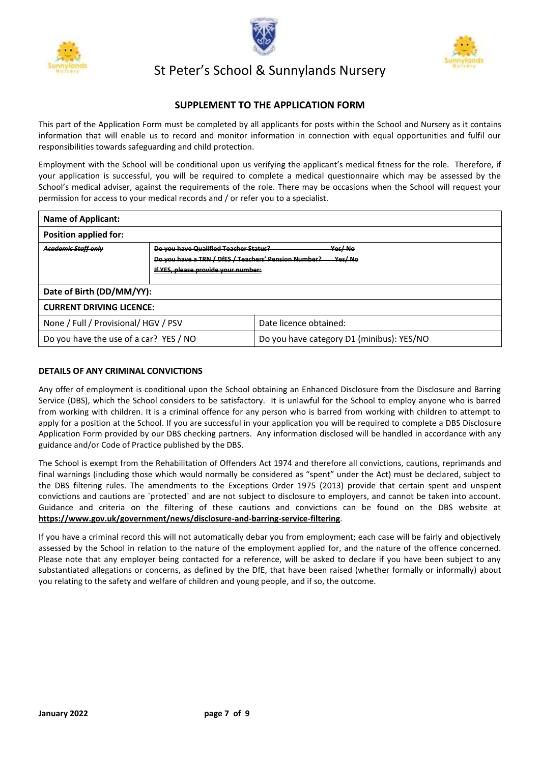





# St Peter's School & Sunnylands Nursery

## **SUPPLEMENT TO THE APPLICATION FORM**

This part of the Application Form must be completed by all applicants for posts within the School and Nursery as it contains information that will enable us to record and monitor information in connection with equal opportunities and fulfil our responsibilities towards safeguarding and child protection.

Employment with the School will be conditional upon us verifying the applicant's medical fitness for the role. Therefore, if your application is successful, you will be required to complete a medical questionnaire which may be assessed by the School's medical adviser, against the requirements of the role. There may be occasions when the School will request your permission for access to your medical records and / or refer you to a specialist.

| <b>Name of Applicant:</b>              |                                                                                                                                      |                                           |
|----------------------------------------|--------------------------------------------------------------------------------------------------------------------------------------|-------------------------------------------|
| <b>Position applied for:</b>           |                                                                                                                                      |                                           |
| <b>Academic Staff only</b>             | Do you have Qualified Teacher Status?<br>Do you have a TRN / DfES / Teachers' Pension Number?<br>If YES, please provide your number: | Yes/No<br>Yes/ No                         |
| Date of Birth (DD/MM/YY):              |                                                                                                                                      |                                           |
| <b>CURRENT DRIVING LICENCE:</b>        |                                                                                                                                      |                                           |
| None / Full / Provisional/ HGV / PSV   |                                                                                                                                      | Date licence obtained:                    |
| Do you have the use of a car? YES / NO |                                                                                                                                      | Do you have category D1 (minibus): YES/NO |

#### **DETAILS OF ANY CRIMINAL CONVICTIONS**

Any offer of employment is conditional upon the School obtaining an Enhanced Disclosure from the Disclosure and Barring Service (DBS), which the School considers to be satisfactory. It is unlawful for the School to employ anyone who is barred from working with children. It is a criminal offence for any person who is barred from working with children to attempt to apply for a position at the School. If you are successful in your application you will be required to complete a DBS Disclosure Application Form provided by our DBS checking partners. Any information disclosed will be handled in accordance with any guidance and/or Code of Practice published by the DBS.

The School is exempt from the Rehabilitation of Offenders Act 1974 and therefore all convictions, cautions, reprimands and final warnings (including those which would normally be considered as "spent" under the Act) must be declared, subject to the DBS filtering rules. The amendments to the Exceptions Order 1975 (2013) provide that certain spent and unspent convictions and cautions are `protected` and are not subject to disclosure to employers, and cannot be taken into account. Guidance and criteria on the filtering of these cautions and convictions can be found on the DBS website at **https://www.gov.uk/government/news/disclosure-and-barring-service-filtering**.

If you have a criminal record this will not automatically debar you from employment; each case will be fairly and objectively assessed by the School in relation to the nature of the employment applied for, and the nature of the offence concerned. Please note that any employer being contacted for a reference, will be asked to declare if you have been subject to any substantiated allegations or concerns, as defined by the DfE, that have been raised (whether formally or informally) about you relating to the safety and welfare of children and young people, and if so, the outcome.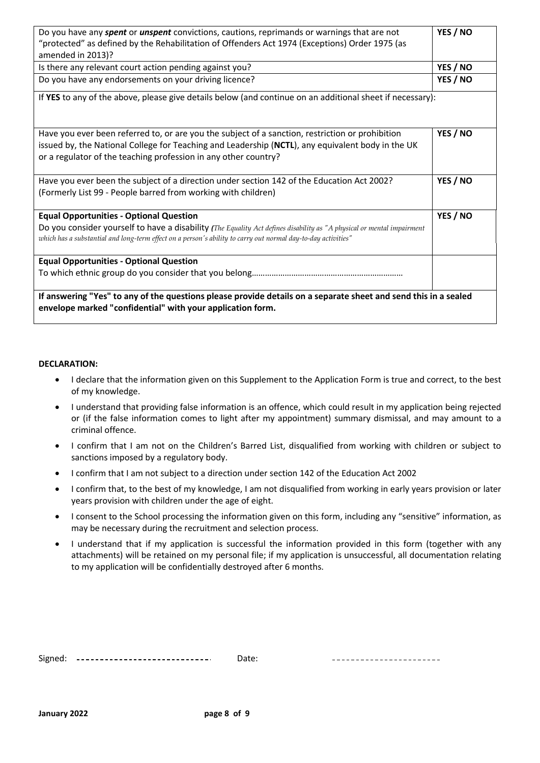| Do you have any <i>spent</i> or <i>unspent</i> convictions, cautions, reprimands or warnings that are not                                                                                                                                                                | YES / NO |
|--------------------------------------------------------------------------------------------------------------------------------------------------------------------------------------------------------------------------------------------------------------------------|----------|
| "protected" as defined by the Rehabilitation of Offenders Act 1974 (Exceptions) Order 1975 (as                                                                                                                                                                           |          |
| amended in 2013)?                                                                                                                                                                                                                                                        |          |
| Is there any relevant court action pending against you?                                                                                                                                                                                                                  | YES / NO |
| Do you have any endorsements on your driving licence?                                                                                                                                                                                                                    | YES / NO |
| If YES to any of the above, please give details below (and continue on an additional sheet if necessary):                                                                                                                                                                |          |
| Have you ever been referred to, or are you the subject of a sanction, restriction or prohibition<br>issued by, the National College for Teaching and Leadership (NCTL), any equivalent body in the UK<br>or a regulator of the teaching profession in any other country? | YES / NO |
| Have you ever been the subject of a direction under section 142 of the Education Act 2002?                                                                                                                                                                               | YES / NO |
| (Formerly List 99 - People barred from working with children)                                                                                                                                                                                                            |          |
| <b>Equal Opportunities - Optional Question</b>                                                                                                                                                                                                                           | YES / NO |
| Do you consider yourself to have a disability (The Equality Act defines disability as "A physical or mental impairment                                                                                                                                                   |          |
| which has a substantial and long-term effect on a person's ability to carry out normal day-to-day activities"                                                                                                                                                            |          |
| <b>Equal Opportunities - Optional Question</b>                                                                                                                                                                                                                           |          |
|                                                                                                                                                                                                                                                                          |          |
| If answering "Yes" to any of the questions please provide details on a separate sheet and send this in a sealed<br>envelope marked "confidential" with your application form.                                                                                            |          |

#### **DECLARATION:**

- I declare that the information given on this Supplement to the Application Form is true and correct, to the best of my knowledge.
- I understand that providing false information is an offence, which could result in my application being rejected or (if the false information comes to light after my appointment) summary dismissal, and may amount to a criminal offence.
- I confirm that I am not on the Children's Barred List, disqualified from working with children or subject to sanctions imposed by a regulatory body.
- I confirm that I am not subject to a direction under section 142 of the Education Act 2002
- I confirm that, to the best of my knowledge, I am not disqualified from working in early years provision or later years provision with children under the age of eight.
- I consent to the School processing the information given on this form, including any "sensitive" information, as may be necessary during the recruitment and selection process.
- I understand that if my application is successful the information provided in this form (together with any attachments) will be retained on my personal file; if my application is unsuccessful, all documentation relating to my application will be confidentially destroyed after 6 months.

| -<br>------------------------------<br>----------------------- |
|----------------------------------------------------------------|
|----------------------------------------------------------------|